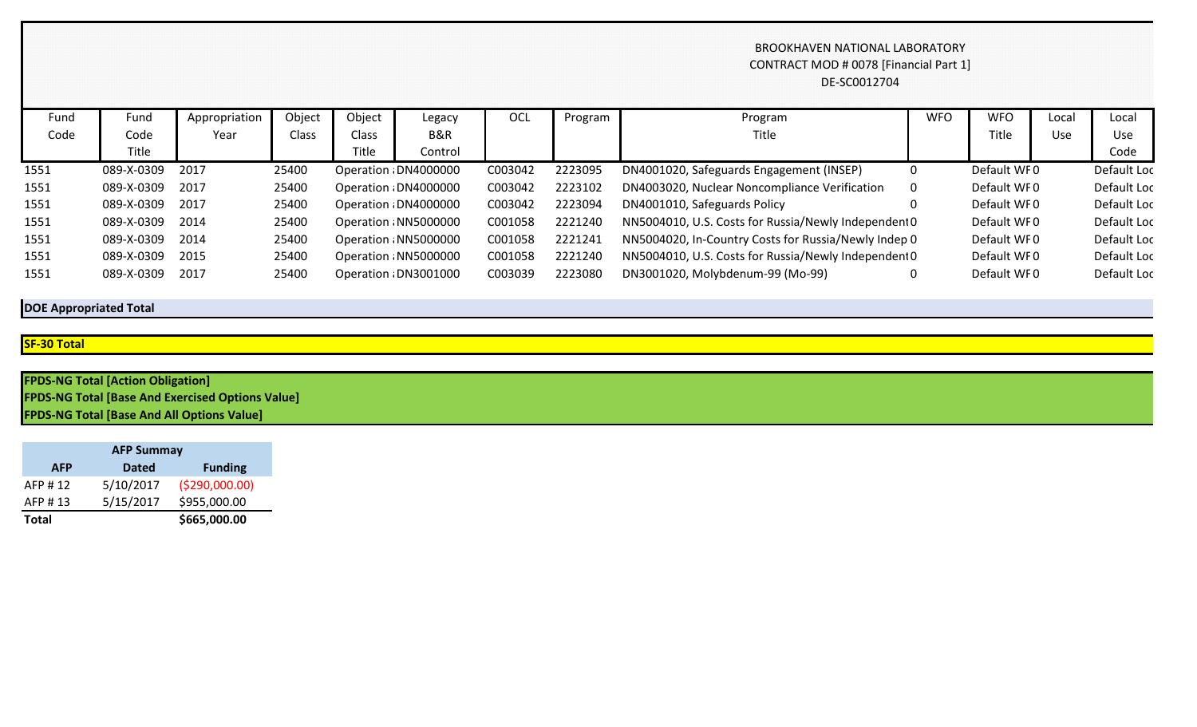## BROOKHAVEN NATIONAL LABORATORY CONTRACT MOD # 0078 [Financial Part 1] DE-SC0012704

| Fund | Fund       | Appropriation | Object | Object       | Legacy                | OCL     | Program | Program                                              | <b>WFO</b> | <b>WFO</b>  | Local | Local       |
|------|------------|---------------|--------|--------------|-----------------------|---------|---------|------------------------------------------------------|------------|-------------|-------|-------------|
| Code | Code       | Year          | Class  | Class        | B&R                   |         |         | Title                                                |            | Title       | Use   | Use         |
|      | Title      |               |        | <b>Title</b> | Control               |         |         |                                                      |            |             |       | Code        |
| 1551 | 089-X-0309 | 2017          | 25400  |              | Operation : DN4000000 | C003042 | 2223095 | DN4001020, Safeguards Engagement (INSEP)             |            | Default WF0 |       | Default Loc |
| 1551 | 089-X-0309 | 2017          | 25400  |              | Operation : DN4000000 | C003042 | 2223102 | DN4003020, Nuclear Noncompliance Verification        | 0          | Default WF0 |       | Default Loc |
| 1551 | 089-X-0309 | 2017          | 25400  |              | Operation : DN4000000 | C003042 | 2223094 | DN4001010, Safeguards Policy                         |            | Default WF0 |       | Default Loc |
| 1551 | 089-X-0309 | 2014          | 25400  |              | Operation : NN5000000 | C001058 | 2221240 | NN5004010, U.S. Costs for Russia/Newly Independent 0 |            | Default WF0 |       | Default Loc |
| 1551 | 089-X-0309 | 2014          | 25400  |              | Operation : NN5000000 | C001058 | 2221241 | NN5004020, In-Country Costs for Russia/Newly Indep 0 |            | Default WF0 |       | Default Loc |
| 1551 | 089-X-0309 | 2015          | 25400  |              | Operation : NN5000000 | C001058 | 2221240 | NN5004010, U.S. Costs for Russia/Newly Independent 0 |            | Default WF0 |       | Default Loc |
| 1551 | 089-X-0309 | 2017          | 25400  |              | Operation : DN3001000 | C003039 | 2223080 | DN3001020, Molybdenum-99 (Mo-99)                     |            | Default WF0 |       | Default Loc |

# **DOE Appropriated Total**

#### **SF-30 Total**

| <b>FPDS-NG Total [Action Obligation]</b>                |  |
|---------------------------------------------------------|--|
| <b>FPDS-NG Total [Base And Exercised Options Value]</b> |  |
| <b>FPDS-NG Total [Base And All Options Value]</b>       |  |

| <b>AFP Summay</b> |              |                 |  |  |  |  |  |
|-------------------|--------------|-----------------|--|--|--|--|--|
| <b>AFP</b>        | <b>Dated</b> | <b>Funding</b>  |  |  |  |  |  |
| AFP #12           | 5/10/2017    | ( \$290,000.00) |  |  |  |  |  |
| AFP #13           | 5/15/2017    | \$955,000.00    |  |  |  |  |  |
| <b>Total</b>      |              | \$665,000.00    |  |  |  |  |  |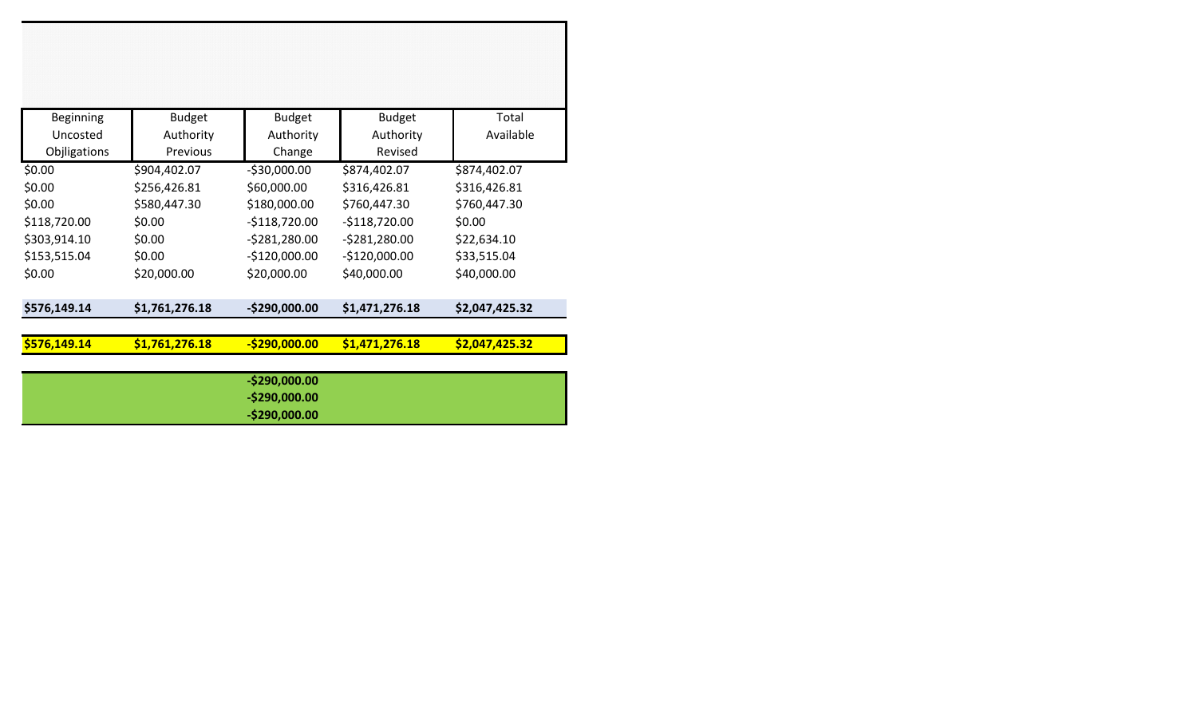| \$576,149.14 | \$1,761,276.18 | $-$290,000.00$ | \$1,471,276.18 | \$2,047,425.32 |
|--------------|----------------|----------------|----------------|----------------|
|              |                |                |                |                |
| \$576,149.14 | \$1,761,276.18 | $-$290,000.00$ | \$1,471,276.18 | \$2,047,425.32 |
| \$0.00       | \$20,000.00    | \$20,000.00    | \$40,000.00    | \$40,000.00    |
| \$153,515.04 | \$0.00         | $-$120,000.00$ | $-$120,000.00$ | \$33,515.04    |
| \$303,914.10 | \$0.00         | $-5281,280.00$ | $-5281,280.00$ | \$22,634.10    |
| \$118,720.00 | \$0.00         | $-$118,720.00$ | $-$118,720.00$ | \$0.00         |
| \$0.00       | \$580,447.30   | \$180,000.00   | \$760,447.30   | \$760,447.30   |
| \$0.00       | \$256,426.81   | \$60,000.00    | \$316,426.81   | \$316,426.81   |
| \$0.00       | \$904,402.07   | $-$30,000.00$  | \$874,402.07   | \$874,402.07   |
| Objligations | Previous       | Change         | Revised        |                |
| Uncosted     | Authority      | Authority      | Authority      | Available      |
| Beginning    | <b>Budget</b>  | <b>Budget</b>  | <b>Budget</b>  | Total          |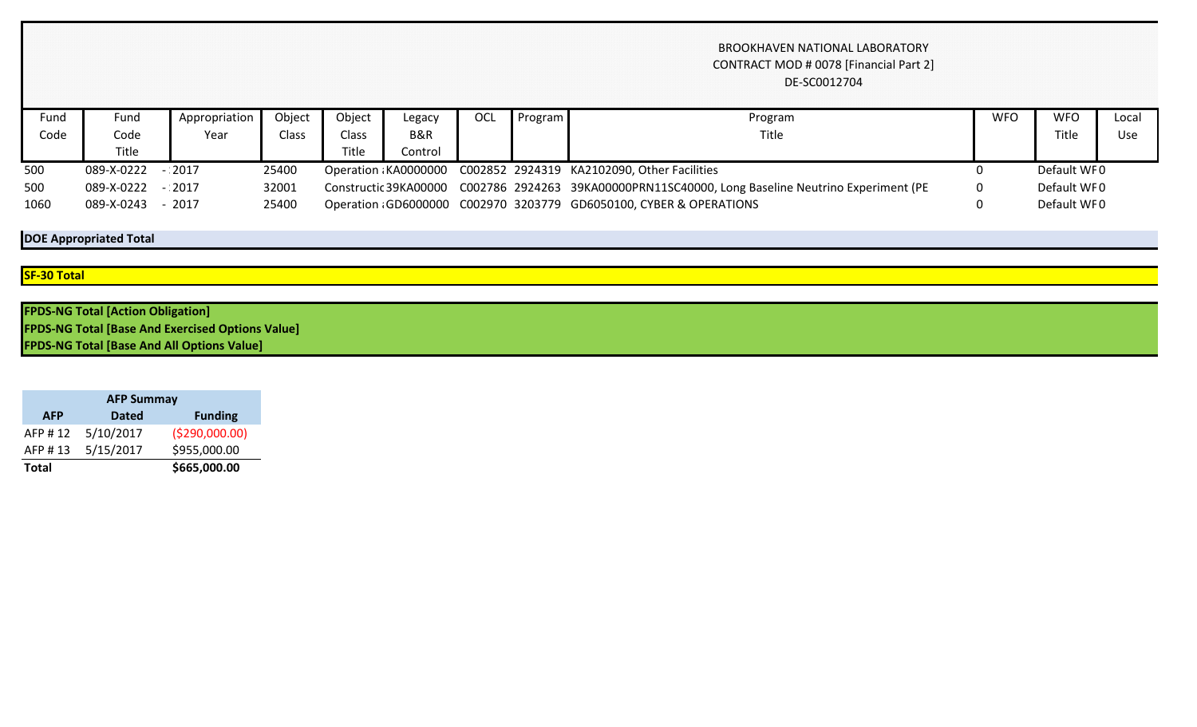## BROOKHAVEN NATIONAL LABORATORY CONTRACT MOD # 0078 [Financial Part 2] DE-SC0012704

| ™und | Fund       | Appropriation | Object       | Object                                                                                                | Legacy                                                            | OCL | Program     | Program     | <b>WFO</b> | <b>WFC</b> | Local |
|------|------------|---------------|--------------|-------------------------------------------------------------------------------------------------------|-------------------------------------------------------------------|-----|-------------|-------------|------------|------------|-------|
|      |            |               |              |                                                                                                       |                                                                   |     |             |             |            |            |       |
| Code | Code       | Year          | <b>Class</b> | Class                                                                                                 | B&R                                                               |     |             | Title       |            | Title      | Use   |
|      | Title      |               |              | Title                                                                                                 | Control                                                           |     |             |             |            |            |       |
| 500  | 089-X-0222 | $-2017$       | 25400        |                                                                                                       | Operation KA0000000 C002852 2924319 KA2102090, Other Facilities   |     |             | Default WF0 |            |            |       |
| 500  | 089-X-0222 | $-2017$       | 32001        | C002786 2924263 39KA00000PRN11SC40000, Long Baseline Neutrino Experiment (PE<br>Constructic 39KA00000 |                                                                   |     | Default WF0 |             |            |            |       |
| 1060 | 089-X-0243 | 2017          | 25400        |                                                                                                       | Operation GD6000000 C002970 3203779 GD6050100, CYBER & OPERATIONS |     |             | Default WF0 |            |            |       |

# **DOE Appropriated Total**

#### **SF-30 Total**

| <b>FPDS-NG Total [Action Obligation]</b>                |  |
|---------------------------------------------------------|--|
| <b>FPDS-NG Total [Base And Exercised Options Value]</b> |  |
| <b>FPDS-NG Total [Base And All Options Value]</b>       |  |

| <b>AFP Summay</b> |              |                 |  |  |  |  |  |  |
|-------------------|--------------|-----------------|--|--|--|--|--|--|
| <b>AFP</b>        | <b>Dated</b> | <b>Funding</b>  |  |  |  |  |  |  |
| AFP #12           | 5/10/2017    | ( \$290,000.00) |  |  |  |  |  |  |
| AFP #13           | 5/15/2017    | \$955,000.00    |  |  |  |  |  |  |
| <b>Total</b>      |              | \$665,000.00    |  |  |  |  |  |  |